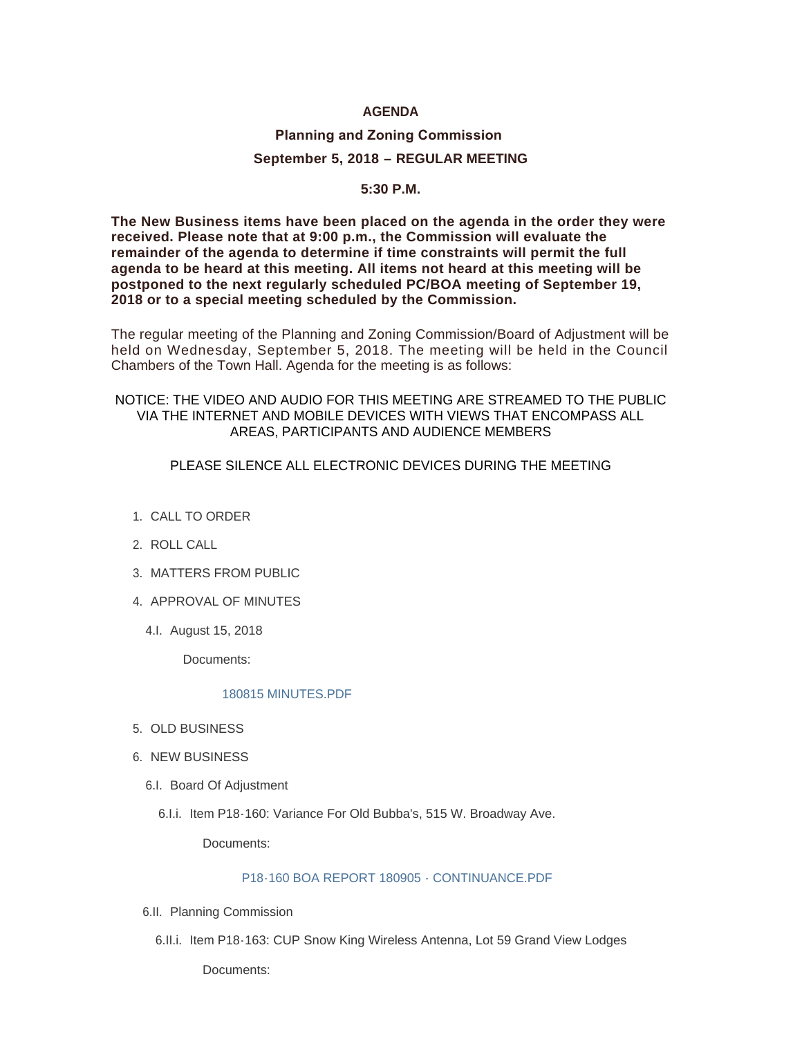## **AGENDA**

# **Planning and Zoning Commission September 5, 2018 – REGULAR MEETING**

## **5:30 P.M.**

**The New Business items have been placed on the agenda in the order they were received. Please note that at 9:00 p.m., the Commission will evaluate the remainder of the agenda to determine if time constraints will permit the full agenda to be heard at this meeting. All items not heard at this meeting will be postponed to the next regularly scheduled PC/BOA meeting of September 19, 2018 or to a special meeting scheduled by the Commission.**

The regular meeting of the Planning and Zoning Commission/Board of Adjustment will be held on Wednesday, September 5, 2018. The meeting will be held in the Council Chambers of the Town Hall. Agenda for the meeting is as follows:

## NOTICE: THE VIDEO AND AUDIO FOR THIS MEETING ARE STREAMED TO THE PUBLIC VIA THE INTERNET AND MOBILE DEVICES WITH VIEWS THAT ENCOMPASS ALL AREAS, PARTICIPANTS AND AUDIENCE MEMBERS

## PLEASE SILENCE ALL ELECTRONIC DEVICES DURING THE MEETING

- 1. CALL TO ORDER
- 2. ROLL CALL
- MATTERS FROM PUBLIC 3.
- 4. APPROVAL OF MINUTES
	- 4.l. August 15, 2018

Documents:

### [180815 MINUTES.PDF](https://www.jacksonwy.gov/AgendaCenter/ViewFile/Item/1488?fileID=4028)

- 5. OLD BUSINESS
- 6. NEW BUSINESS
	- 6.I. Board Of Adjustment
		- 6.I.i. Item P18-160: Variance For Old Bubba's, 515 W. Broadway Ave.

Documents:

### [P18-160 BOA REPORT 180905 - CONTINUANCE.PDF](https://www.jacksonwy.gov/AgendaCenter/ViewFile/Item/1503?fileID=4030)

- 6.II. Planning Commission
	- 6.II.i. Item P18-163: CUP Snow King Wireless Antenna, Lot 59 Grand View Lodges

Documents: